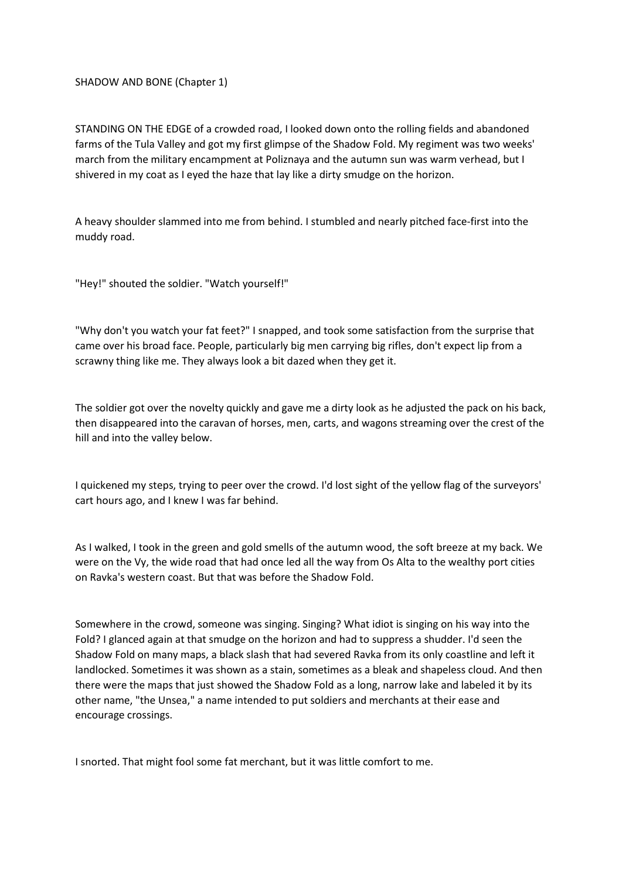## SHADOW AND BONE (Chapter 1)

STANDING ON THE EDGE of a crowded road, I looked down onto the rolling fields and abandoned farms of the Tula Valley and got my first glimpse of the Shadow Fold. My regiment was two weeks' march from the military encampment at Poliznaya and the autumn sun was warm verhead, but I shivered in my coat as I eyed the haze that lay like a dirty smudge on the horizon.

A heavy shoulder slammed into me from behind. I stumbled and nearly pitched face-first into the muddy road.

"Hey!" shouted the soldier. "Watch yourself!"

"Why don't you watch your fat feet?" I snapped, and took some satisfaction from the surprise that came over his broad face. People, particularly big men carrying big rifles, don't expect lip from a scrawny thing like me. They always look a bit dazed when they get it.

The soldier got over the novelty quickly and gave me a dirty look as he adjusted the pack on his back, then disappeared into the caravan of horses, men, carts, and wagons streaming over the crest of the hill and into the valley below.

I quickened my steps, trying to peer over the crowd. I'd lost sight of the yellow flag of the surveyors' cart hours ago, and I knew I was far behind.

As I walked, I took in the green and gold smells of the autumn wood, the soft breeze at my back. We were on the Vy, the wide road that had once led all the way from Os Alta to the wealthy port cities on Ravka's western coast. But that was before the Shadow Fold.

Somewhere in the crowd, someone was singing. Singing? What idiot is singing on his way into the Fold? I glanced again at that smudge on the horizon and had to suppress a shudder. I'd seen the Shadow Fold on many maps, a black slash that had severed Ravka from its only coastline and left it landlocked. Sometimes it was shown as a stain, sometimes as a bleak and shapeless cloud. And then there were the maps that just showed the Shadow Fold as a long, narrow lake and labeled it by its other name, "the Unsea," a name intended to put soldiers and merchants at their ease and encourage crossings.

I snorted. That might fool some fat merchant, but it was little comfort to me.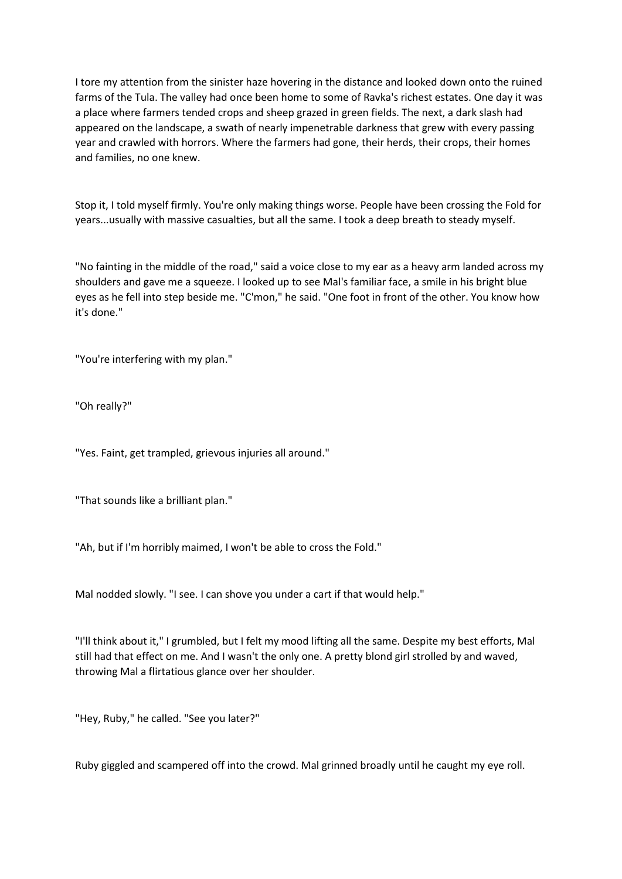I tore my attention from the sinister haze hovering in the distance and looked down onto the ruined farms of the Tula. The valley had once been home to some of Ravka's richest estates. One day it was a place where farmers tended crops and sheep grazed in green fields. The next, a dark slash had appeared on the landscape, a swath of nearly impenetrable darkness that grew with every passing year and crawled with horrors. Where the farmers had gone, their herds, their crops, their homes and families, no one knew.

Stop it, I told myself firmly. You're only making things worse. People have been crossing the Fold for years...usually with massive casualties, but all the same. I took a deep breath to steady myself.

"No fainting in the middle of the road," said a voice close to my ear as a heavy arm landed across my shoulders and gave me a squeeze. I looked up to see Mal's familiar face, a smile in his bright blue eyes as he fell into step beside me. "C'mon," he said. "One foot in front of the other. You know how it's done."

"You're interfering with my plan."

"Oh really?"

"Yes. Faint, get trampled, grievous injuries all around."

"That sounds like a brilliant plan."

"Ah, but if I'm horribly maimed, I won't be able to cross the Fold."

Mal nodded slowly. "I see. I can shove you under a cart if that would help."

"I'll think about it," I grumbled, but I felt my mood lifting all the same. Despite my best efforts, Mal still had that effect on me. And I wasn't the only one. A pretty blond girl strolled by and waved, throwing Mal a flirtatious glance over her shoulder.

"Hey, Ruby," he called. "See you later?"

Ruby giggled and scampered off into the crowd. Mal grinned broadly until he caught my eye roll.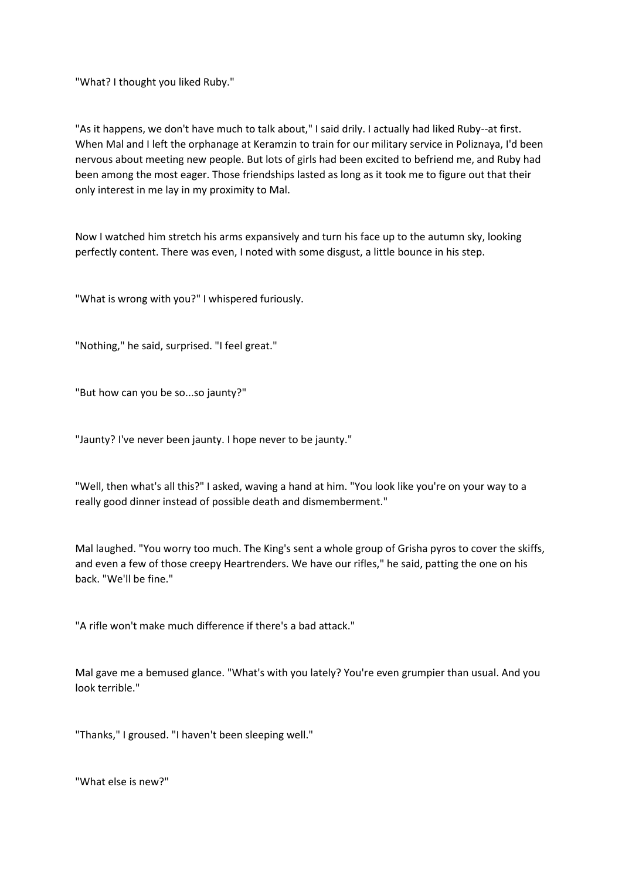"What? I thought you liked Ruby."

"As it happens, we don't have much to talk about," I said drily. I actually had liked Ruby--at first. When Mal and I left the orphanage at Keramzin to train for our military service in Poliznaya, I'd been nervous about meeting new people. But lots of girls had been excited to befriend me, and Ruby had been among the most eager. Those friendships lasted as long as it took me to figure out that their only interest in me lay in my proximity to Mal.

Now I watched him stretch his arms expansively and turn his face up to the autumn sky, looking perfectly content. There was even, I noted with some disgust, a little bounce in his step.

"What is wrong with you?" I whispered furiously.

"Nothing," he said, surprised. "I feel great."

"But how can you be so...so jaunty?"

"Jaunty? I've never been jaunty. I hope never to be jaunty."

"Well, then what's all this?" I asked, waving a hand at him. "You look like you're on your way to a really good dinner instead of possible death and dismemberment."

Mal laughed. "You worry too much. The King's sent a whole group of Grisha pyros to cover the skiffs, and even a few of those creepy Heartrenders. We have our rifles," he said, patting the one on his back. "We'll be fine."

"A rifle won't make much difference if there's a bad attack."

Mal gave me a bemused glance. "What's with you lately? You're even grumpier than usual. And you look terrible."

"Thanks," I groused. "I haven't been sleeping well."

"What else is new?"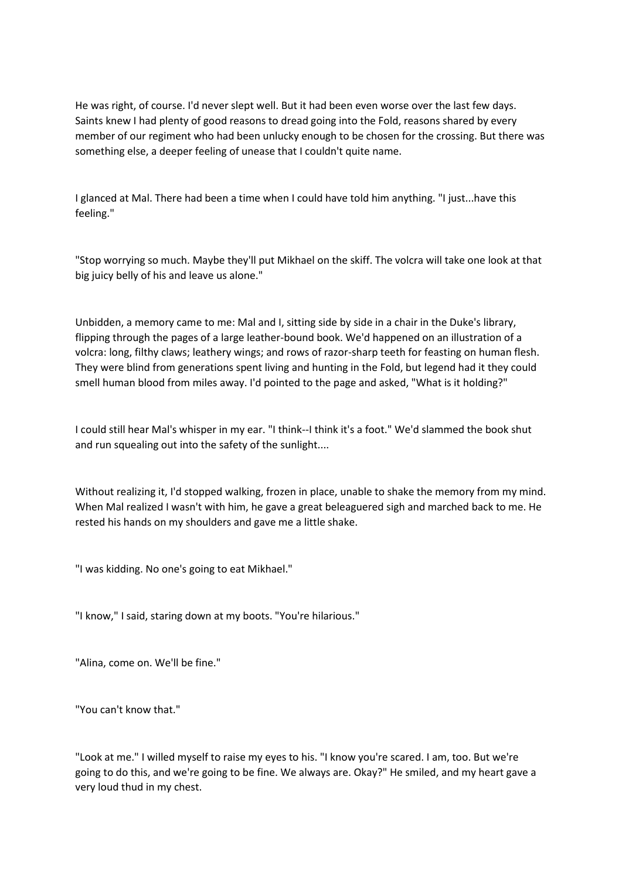He was right, of course. I'd never slept well. But it had been even worse over the last few days. Saints knew I had plenty of good reasons to dread going into the Fold, reasons shared by every member of our regiment who had been unlucky enough to be chosen for the crossing. But there was something else, a deeper feeling of unease that I couldn't quite name.

I glanced at Mal. There had been a time when I could have told him anything. "I just...have this feeling."

"Stop worrying so much. Maybe they'll put Mikhael on the skiff. The volcra will take one look at that big juicy belly of his and leave us alone."

Unbidden, a memory came to me: Mal and I, sitting side by side in a chair in the Duke's library, flipping through the pages of a large leather-bound book. We'd happened on an illustration of a volcra: long, filthy claws; leathery wings; and rows of razor-sharp teeth for feasting on human flesh. They were blind from generations spent living and hunting in the Fold, but legend had it they could smell human blood from miles away. I'd pointed to the page and asked, "What is it holding?"

I could still hear Mal's whisper in my ear. "I think--I think it's a foot." We'd slammed the book shut and run squealing out into the safety of the sunlight....

Without realizing it, I'd stopped walking, frozen in place, unable to shake the memory from my mind. When Mal realized I wasn't with him, he gave a great beleaguered sigh and marched back to me. He rested his hands on my shoulders and gave me a little shake.

"I was kidding. No one's going to eat Mikhael."

"I know," I said, staring down at my boots. "You're hilarious."

"Alina, come on. We'll be fine."

"You can't know that."

"Look at me." I willed myself to raise my eyes to his. "I know you're scared. I am, too. But we're going to do this, and we're going to be fine. We always are. Okay?" He smiled, and my heart gave a very loud thud in my chest.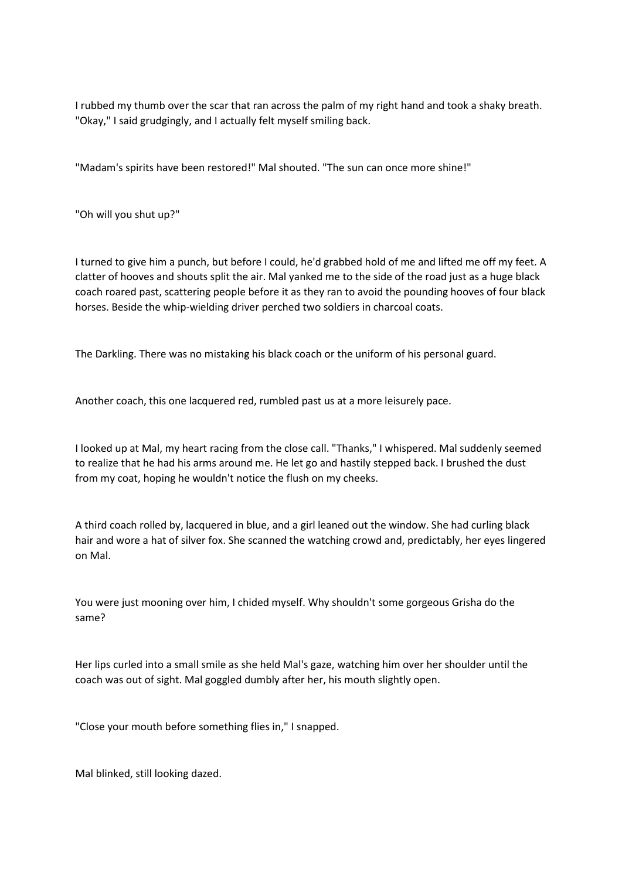I rubbed my thumb over the scar that ran across the palm of my right hand and took a shaky breath. "Okay," I said grudgingly, and I actually felt myself smiling back.

"Madam's spirits have been restored!" Mal shouted. "The sun can once more shine!"

"Oh will you shut up?"

I turned to give him a punch, but before I could, he'd grabbed hold of me and lifted me off my feet. A clatter of hooves and shouts split the air. Mal yanked me to the side of the road just as a huge black coach roared past, scattering people before it as they ran to avoid the pounding hooves of four black horses. Beside the whip-wielding driver perched two soldiers in charcoal coats.

The Darkling. There was no mistaking his black coach or the uniform of his personal guard.

Another coach, this one lacquered red, rumbled past us at a more leisurely pace.

I looked up at Mal, my heart racing from the close call. "Thanks," I whispered. Mal suddenly seemed to realize that he had his arms around me. He let go and hastily stepped back. I brushed the dust from my coat, hoping he wouldn't notice the flush on my cheeks.

A third coach rolled by, lacquered in blue, and a girl leaned out the window. She had curling black hair and wore a hat of silver fox. She scanned the watching crowd and, predictably, her eyes lingered on Mal.

You were just mooning over him, I chided myself. Why shouldn't some gorgeous Grisha do the same?

Her lips curled into a small smile as she held Mal's gaze, watching him over her shoulder until the coach was out of sight. Mal goggled dumbly after her, his mouth slightly open.

"Close your mouth before something flies in," I snapped.

Mal blinked, still looking dazed.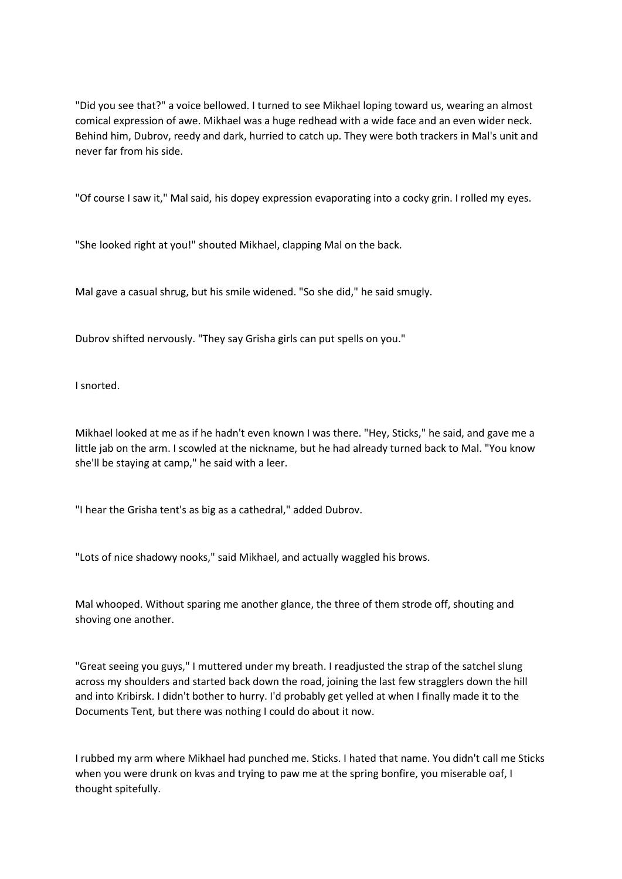"Did you see that?" a voice bellowed. I turned to see Mikhael loping toward us, wearing an almost comical expression of awe. Mikhael was a huge redhead with a wide face and an even wider neck. Behind him, Dubrov, reedy and dark, hurried to catch up. They were both trackers in Mal's unit and never far from his side.

"Of course I saw it," Mal said, his dopey expression evaporating into a cocky grin. I rolled my eyes.

"She looked right at you!" shouted Mikhael, clapping Mal on the back.

Mal gave a casual shrug, but his smile widened. "So she did," he said smugly.

Dubrov shifted nervously. "They say Grisha girls can put spells on you."

I snorted.

Mikhael looked at me as if he hadn't even known I was there. "Hey, Sticks," he said, and gave me a little jab on the arm. I scowled at the nickname, but he had already turned back to Mal. "You know she'll be staying at camp," he said with a leer.

"I hear the Grisha tent's as big as a cathedral," added Dubrov.

"Lots of nice shadowy nooks," said Mikhael, and actually waggled his brows.

Mal whooped. Without sparing me another glance, the three of them strode off, shouting and shoving one another.

"Great seeing you guys," I muttered under my breath. I readjusted the strap of the satchel slung across my shoulders and started back down the road, joining the last few stragglers down the hill and into Kribirsk. I didn't bother to hurry. I'd probably get yelled at when I finally made it to the Documents Tent, but there was nothing I could do about it now.

I rubbed my arm where Mikhael had punched me. Sticks. I hated that name. You didn't call me Sticks when you were drunk on kvas and trying to paw me at the spring bonfire, you miserable oaf, I thought spitefully.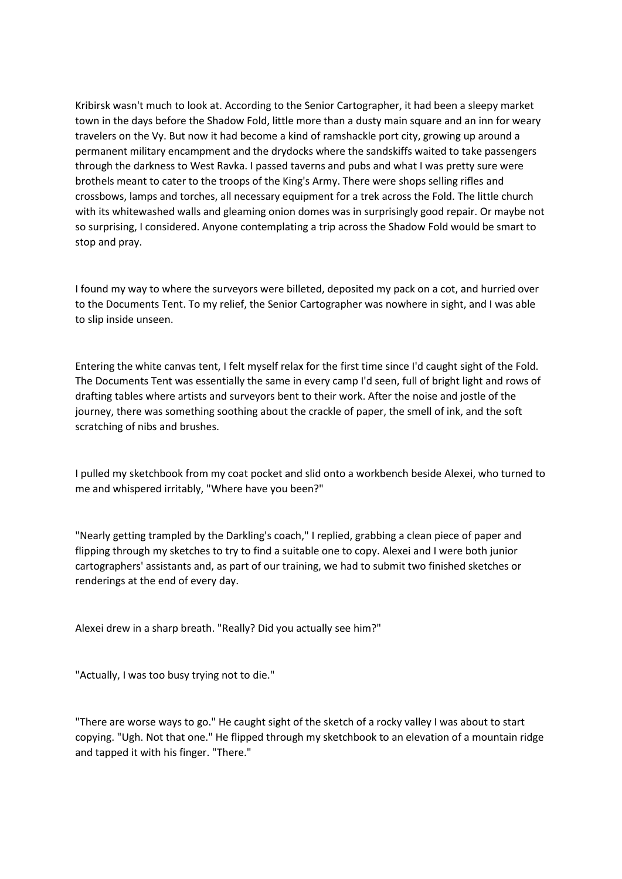Kribirsk wasn't much to look at. According to the Senior Cartographer, it had been a sleepy market town in the days before the Shadow Fold, little more than a dusty main square and an inn for weary travelers on the Vy. But now it had become a kind of ramshackle port city, growing up around a permanent military encampment and the drydocks where the sandskiffs waited to take passengers through the darkness to West Ravka. I passed taverns and pubs and what I was pretty sure were brothels meant to cater to the troops of the King's Army. There were shops selling rifles and crossbows, lamps and torches, all necessary equipment for a trek across the Fold. The little church with its whitewashed walls and gleaming onion domes was in surprisingly good repair. Or maybe not so surprising, I considered. Anyone contemplating a trip across the Shadow Fold would be smart to stop and pray.

I found my way to where the surveyors were billeted, deposited my pack on a cot, and hurried over to the Documents Tent. To my relief, the Senior Cartographer was nowhere in sight, and I was able to slip inside unseen.

Entering the white canvas tent, I felt myself relax for the first time since I'd caught sight of the Fold. The Documents Tent was essentially the same in every camp I'd seen, full of bright light and rows of drafting tables where artists and surveyors bent to their work. After the noise and jostle of the journey, there was something soothing about the crackle of paper, the smell of ink, and the soft scratching of nibs and brushes.

I pulled my sketchbook from my coat pocket and slid onto a workbench beside Alexei, who turned to me and whispered irritably, "Where have you been?"

"Nearly getting trampled by the Darkling's coach," I replied, grabbing a clean piece of paper and flipping through my sketches to try to find a suitable one to copy. Alexei and I were both junior cartographers' assistants and, as part of our training, we had to submit two finished sketches or renderings at the end of every day.

Alexei drew in a sharp breath. "Really? Did you actually see him?"

"Actually, I was too busy trying not to die."

"There are worse ways to go." He caught sight of the sketch of a rocky valley I was about to start copying. "Ugh. Not that one." He flipped through my sketchbook to an elevation of a mountain ridge and tapped it with his finger. "There."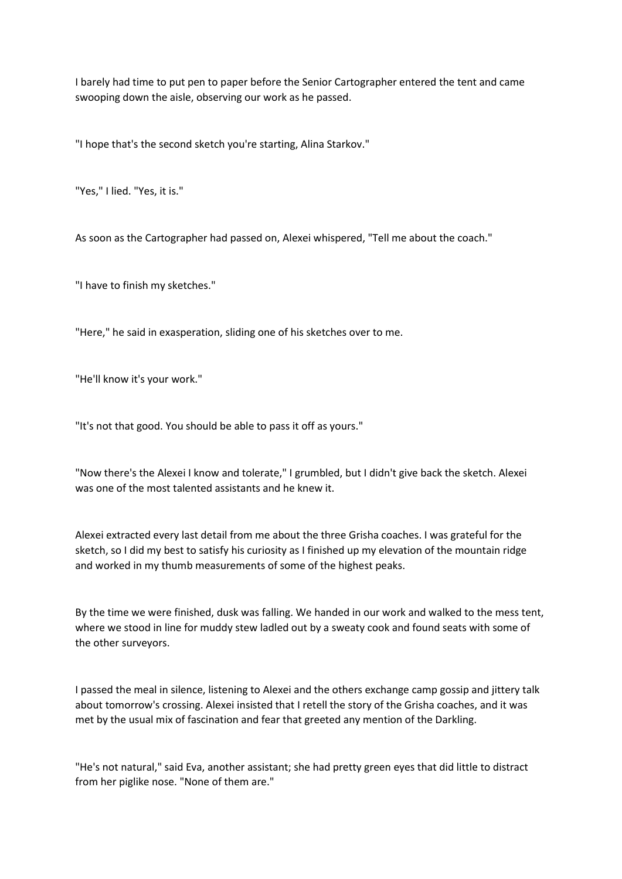I barely had time to put pen to paper before the Senior Cartographer entered the tent and came swooping down the aisle, observing our work as he passed.

"I hope that's the second sketch you're starting, Alina Starkov."

"Yes," I lied. "Yes, it is."

As soon as the Cartographer had passed on, Alexei whispered, "Tell me about the coach."

"I have to finish my sketches."

"Here," he said in exasperation, sliding one of his sketches over to me.

"He'll know it's your work."

"It's not that good. You should be able to pass it off as yours."

"Now there's the Alexei I know and tolerate," I grumbled, but I didn't give back the sketch. Alexei was one of the most talented assistants and he knew it.

Alexei extracted every last detail from me about the three Grisha coaches. I was grateful for the sketch, so I did my best to satisfy his curiosity as I finished up my elevation of the mountain ridge and worked in my thumb measurements of some of the highest peaks.

By the time we were finished, dusk was falling. We handed in our work and walked to the mess tent, where we stood in line for muddy stew ladled out by a sweaty cook and found seats with some of the other surveyors.

I passed the meal in silence, listening to Alexei and the others exchange camp gossip and jittery talk about tomorrow's crossing. Alexei insisted that I retell the story of the Grisha coaches, and it was met by the usual mix of fascination and fear that greeted any mention of the Darkling.

"He's not natural," said Eva, another assistant; she had pretty green eyes that did little to distract from her piglike nose. "None of them are."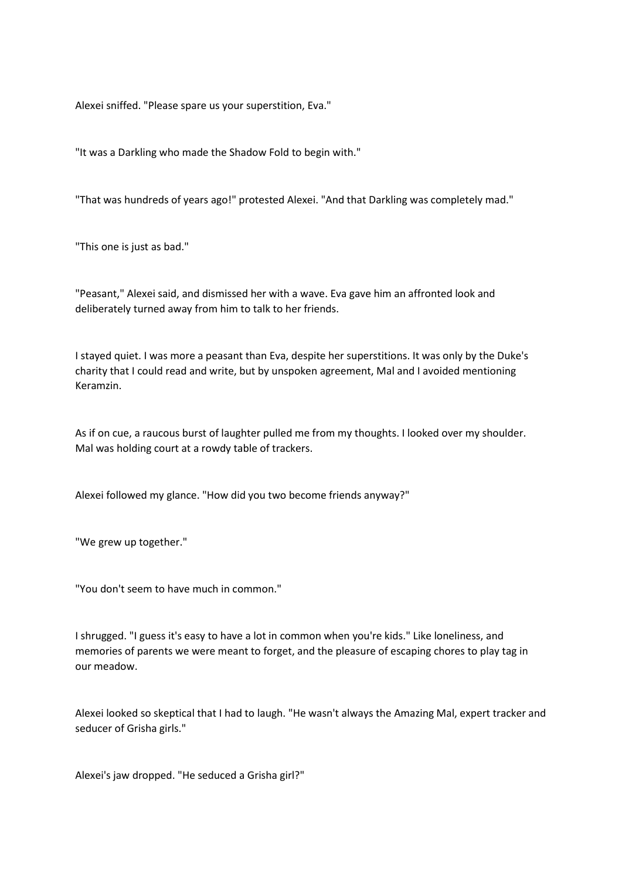Alexei sniffed. "Please spare us your superstition, Eva."

"It was a Darkling who made the Shadow Fold to begin with."

"That was hundreds of years ago!" protested Alexei. "And that Darkling was completely mad."

"This one is just as bad."

"Peasant," Alexei said, and dismissed her with a wave. Eva gave him an affronted look and deliberately turned away from him to talk to her friends.

I stayed quiet. I was more a peasant than Eva, despite her superstitions. It was only by the Duke's charity that I could read and write, but by unspoken agreement, Mal and I avoided mentioning Keramzin.

As if on cue, a raucous burst of laughter pulled me from my thoughts. I looked over my shoulder. Mal was holding court at a rowdy table of trackers.

Alexei followed my glance. "How did you two become friends anyway?"

"We grew up together."

"You don't seem to have much in common."

I shrugged. "I guess it's easy to have a lot in common when you're kids." Like loneliness, and memories of parents we were meant to forget, and the pleasure of escaping chores to play tag in our meadow.

Alexei looked so skeptical that I had to laugh. "He wasn't always the Amazing Mal, expert tracker and seducer of Grisha girls."

Alexei's jaw dropped. "He seduced a Grisha girl?"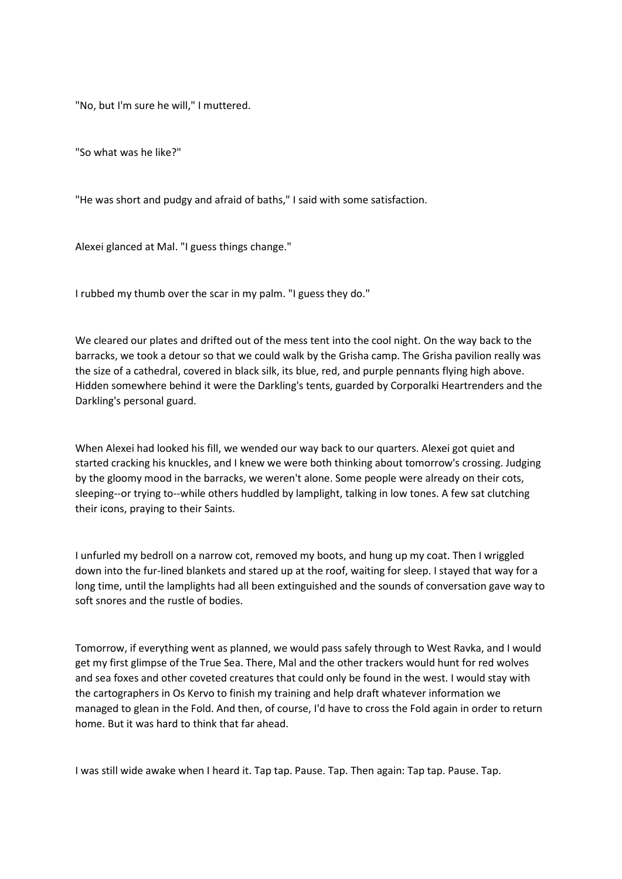"No, but I'm sure he will," I muttered.

"So what was he like?"

"He was short and pudgy and afraid of baths," I said with some satisfaction.

Alexei glanced at Mal. "I guess things change."

I rubbed my thumb over the scar in my palm. "I guess they do."

We cleared our plates and drifted out of the mess tent into the cool night. On the way back to the barracks, we took a detour so that we could walk by the Grisha camp. The Grisha pavilion really was the size of a cathedral, covered in black silk, its blue, red, and purple pennants flying high above. Hidden somewhere behind it were the Darkling's tents, guarded by Corporalki Heartrenders and the Darkling's personal guard.

When Alexei had looked his fill, we wended our way back to our quarters. Alexei got quiet and started cracking his knuckles, and I knew we were both thinking about tomorrow's crossing. Judging by the gloomy mood in the barracks, we weren't alone. Some people were already on their cots, sleeping--or trying to--while others huddled by lamplight, talking in low tones. A few sat clutching their icons, praying to their Saints.

I unfurled my bedroll on a narrow cot, removed my boots, and hung up my coat. Then I wriggled down into the fur-lined blankets and stared up at the roof, waiting for sleep. I stayed that way for a long time, until the lamplights had all been extinguished and the sounds of conversation gave way to soft snores and the rustle of bodies.

Tomorrow, if everything went as planned, we would pass safely through to West Ravka, and I would get my first glimpse of the True Sea. There, Mal and the other trackers would hunt for red wolves and sea foxes and other coveted creatures that could only be found in the west. I would stay with the cartographers in Os Kervo to finish my training and help draft whatever information we managed to glean in the Fold. And then, of course, I'd have to cross the Fold again in order to return home. But it was hard to think that far ahead.

I was still wide awake when I heard it. Tap tap. Pause. Tap. Then again: Tap tap. Pause. Tap.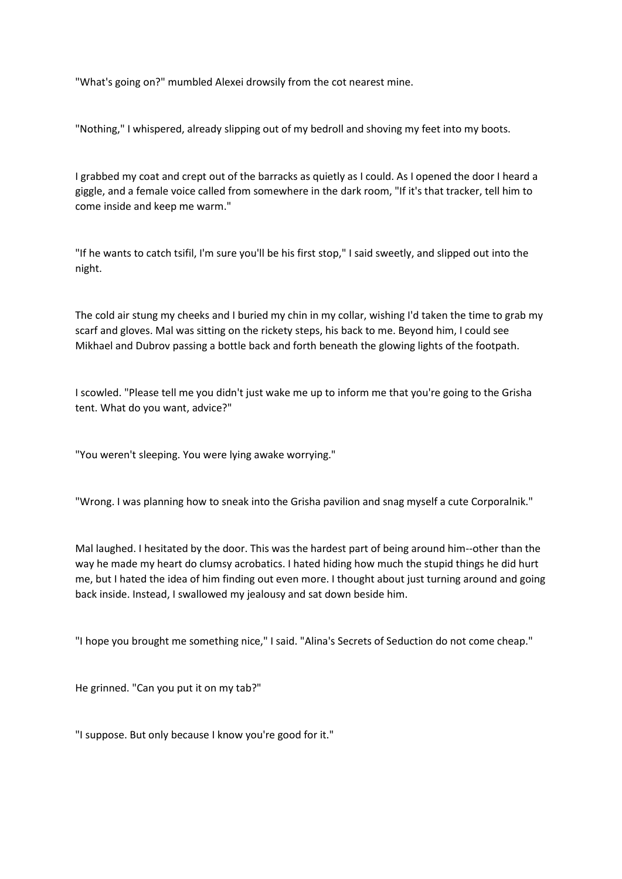"What's going on?" mumbled Alexei drowsily from the cot nearest mine.

"Nothing," I whispered, already slipping out of my bedroll and shoving my feet into my boots.

I grabbed my coat and crept out of the barracks as quietly as I could. As I opened the door I heard a giggle, and a female voice called from somewhere in the dark room, "If it's that tracker, tell him to come inside and keep me warm."

"If he wants to catch tsifil, I'm sure you'll be his first stop," I said sweetly, and slipped out into the night.

The cold air stung my cheeks and I buried my chin in my collar, wishing I'd taken the time to grab my scarf and gloves. Mal was sitting on the rickety steps, his back to me. Beyond him, I could see Mikhael and Dubrov passing a bottle back and forth beneath the glowing lights of the footpath.

I scowled. "Please tell me you didn't just wake me up to inform me that you're going to the Grisha tent. What do you want, advice?"

"You weren't sleeping. You were lying awake worrying."

"Wrong. I was planning how to sneak into the Grisha pavilion and snag myself a cute Corporalnik."

Mal laughed. I hesitated by the door. This was the hardest part of being around him--other than the way he made my heart do clumsy acrobatics. I hated hiding how much the stupid things he did hurt me, but I hated the idea of him finding out even more. I thought about just turning around and going back inside. Instead, I swallowed my jealousy and sat down beside him.

"I hope you brought me something nice," I said. "Alina's Secrets of Seduction do not come cheap."

He grinned. "Can you put it on my tab?"

"I suppose. But only because I know you're good for it."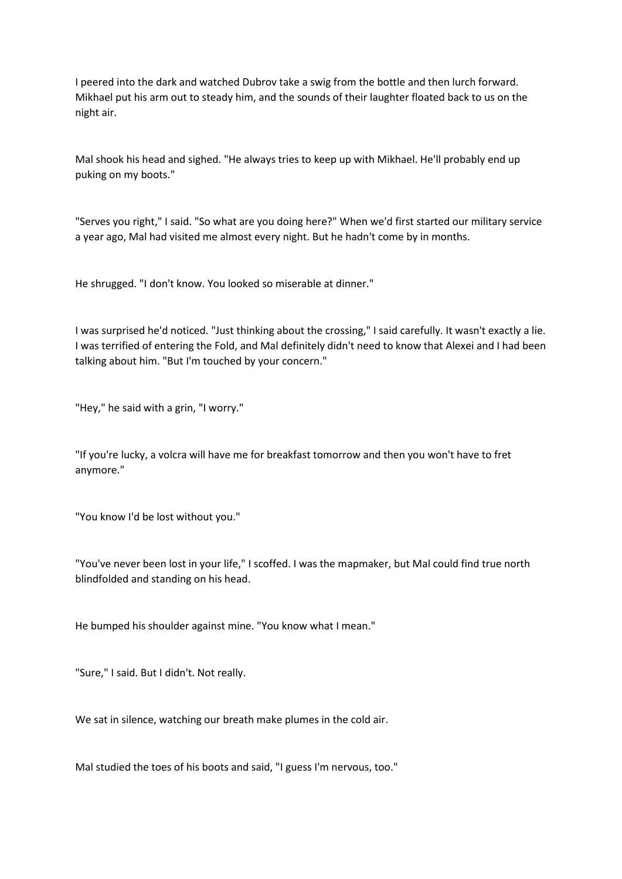I peered into the dark and watched Dubrov take a swig from the bottle and then lurch forward. Mikhael put his arm out to steady him, and the sounds of their laughter floated back to us on the night air.

Mal shook his head and sighed. "He always tries to keep up with Mikhael. He'll probably end up puking on my boots."

"Serves you right," I said. "So what are you doing here?" When we'd first started our military service a year ago, Mal had visited me almost every night. But he hadn't come by in months.

He shrugged. "I don't know. You looked so miserable at dinner."

I was surprised he'd noticed. "Just thinking about the crossing," I said carefully. It wasn't exactly a lie. I was terrified of entering the Fold, and Mal definitely didn't need to know that Alexei and I had been talking about him. "But I'm touched by your concern."

"Hey," he said with a grin, "I worry."

"If you're lucky, a volcra will have me for breakfast tomorrow and then you won't have to fret anymore."

"You know I'd be lost without you."

"You've never been lost in your life," I scoffed. I was the mapmaker, but Mal could find true north blindfolded and standing on his head.

He bumped his shoulder against mine. "You know what I mean."

"Sure," I said. But I didn't. Not really.

We sat in silence, watching our breath make plumes in the cold air.

Mal studied the toes of his boots and said, "I guess I'm nervous, too."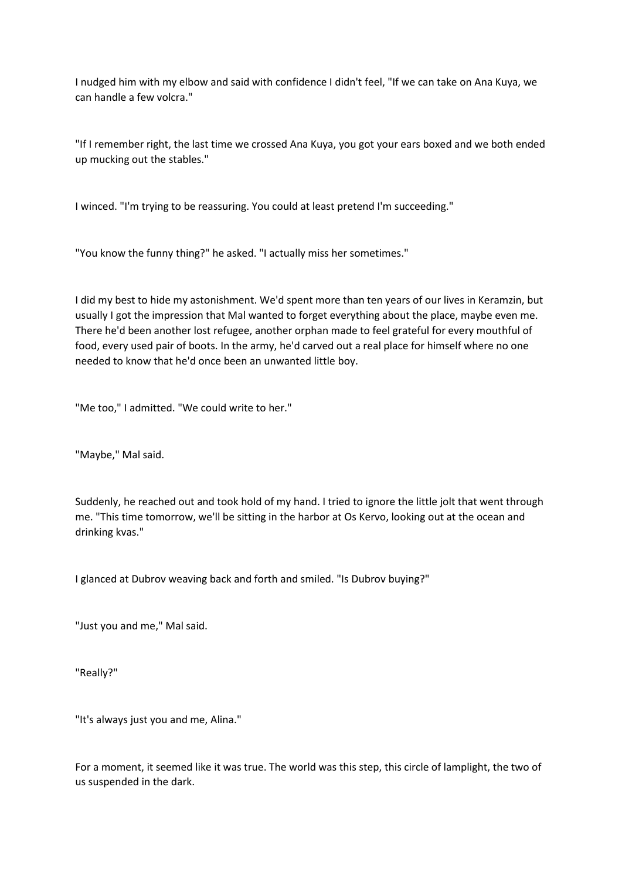I nudged him with my elbow and said with confidence I didn't feel, "If we can take on Ana Kuya, we can handle a few volcra."

"If I remember right, the last time we crossed Ana Kuya, you got your ears boxed and we both ended up mucking out the stables."

I winced. "I'm trying to be reassuring. You could at least pretend I'm succeeding."

"You know the funny thing?" he asked. "I actually miss her sometimes."

I did my best to hide my astonishment. We'd spent more than ten years of our lives in Keramzin, but usually I got the impression that Mal wanted to forget everything about the place, maybe even me. There he'd been another lost refugee, another orphan made to feel grateful for every mouthful of food, every used pair of boots. In the army, he'd carved out a real place for himself where no one needed to know that he'd once been an unwanted little boy.

"Me too," I admitted. "We could write to her."

"Maybe," Mal said.

Suddenly, he reached out and took hold of my hand. I tried to ignore the little jolt that went through me. "This time tomorrow, we'll be sitting in the harbor at Os Kervo, looking out at the ocean and drinking kvas."

I glanced at Dubrov weaving back and forth and smiled. "Is Dubrov buying?"

"Just you and me," Mal said.

"Really?"

"It's always just you and me, Alina."

For a moment, it seemed like it was true. The world was this step, this circle of lamplight, the two of us suspended in the dark.